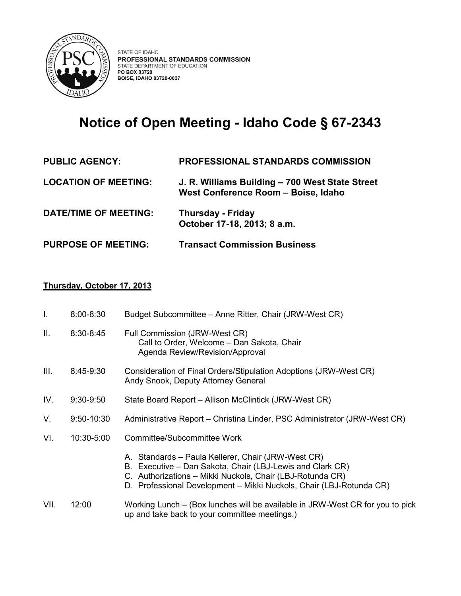

# **Notice of Open Meeting - Idaho Code § 67-2343**

| <b>PUBLIC AGENCY:</b>        | <b>PROFESSIONAL STANDARDS COMMISSION</b>                                               |
|------------------------------|----------------------------------------------------------------------------------------|
| <b>LOCATION OF MEETING:</b>  | J. R. Williams Building - 700 West State Street<br>West Conference Room - Boise, Idaho |
| <b>DATE/TIME OF MEETING:</b> | <b>Thursday - Friday</b><br>October 17-18, 2013; 8 a.m.                                |
| <b>PURPOSE OF MEETING:</b>   | <b>Transact Commission Business</b>                                                    |

## **Thursday, October 17, 2013**

| T.   | $8:00 - 8:30$  | Budget Subcommittee – Anne Ritter, Chair (JRW-West CR)                                                                                                                                                                                              |
|------|----------------|-----------------------------------------------------------------------------------------------------------------------------------------------------------------------------------------------------------------------------------------------------|
| II.  | $8:30 - 8:45$  | Full Commission (JRW-West CR)<br>Call to Order, Welcome - Dan Sakota, Chair<br>Agenda Review/Revision/Approval                                                                                                                                      |
| III. | 8:45-9:30      | Consideration of Final Orders/Stipulation Adoptions (JRW-West CR)<br>Andy Snook, Deputy Attorney General                                                                                                                                            |
| IV.  | $9:30-9:50$    | State Board Report – Allison McClintick (JRW-West CR)                                                                                                                                                                                               |
| V.   | $9:50 - 10:30$ | Administrative Report – Christina Linder, PSC Administrator (JRW-West CR)                                                                                                                                                                           |
| VI.  | 10:30-5:00     | Committee/Subcommittee Work                                                                                                                                                                                                                         |
|      |                | A. Standards - Paula Kellerer, Chair (JRW-West CR)<br>B. Executive - Dan Sakota, Chair (LBJ-Lewis and Clark CR)<br>C. Authorizations - Mikki Nuckols, Chair (LBJ-Rotunda CR)<br>D. Professional Development - Mikki Nuckols, Chair (LBJ-Rotunda CR) |
| VII. | 12:00          | Working Lunch – (Box lunches will be available in JRW-West CR for you to pick<br>up and take back to your committee meetings.)                                                                                                                      |